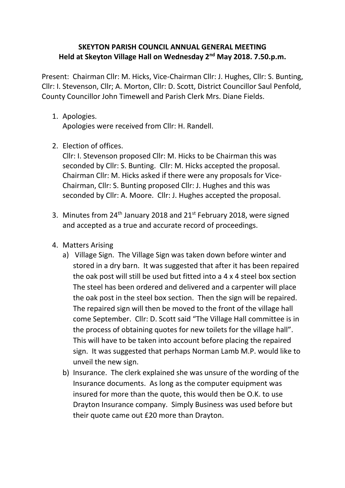## **SKEYTON PARISH COUNCIL ANNUAL GENERAL MEETING Held at Skeyton Village Hall on Wednesday 2nd May 2018. 7.50.p.m.**

Present: Chairman Cllr: M. Hicks, Vice-Chairman Cllr: J. Hughes, Cllr: S. Bunting, Cllr: I. Stevenson, Cllr; A. Morton, Cllr: D. Scott, District Councillor Saul Penfold, County Councillor John Timewell and Parish Clerk Mrs. Diane Fields.

1. Apologies.

Apologies were received from Cllr: H. Randell.

2. Election of offices.

Cllr: I. Stevenson proposed Cllr: M. Hicks to be Chairman this was seconded by Cllr: S. Bunting. Cllr: M. Hicks accepted the proposal. Chairman Cllr: M. Hicks asked if there were any proposals for Vice-Chairman, Cllr: S. Bunting proposed Cllr: J. Hughes and this was seconded by Cllr: A. Moore. Cllr: J. Hughes accepted the proposal.

- 3. Minutes from 24<sup>th</sup> January 2018 and 21<sup>st</sup> February 2018, were signed and accepted as a true and accurate record of proceedings.
- 4. Matters Arising
	- a) Village Sign. The Village Sign was taken down before winter and stored in a dry barn. It was suggested that after it has been repaired the oak post will still be used but fitted into a 4 x 4 steel box section The steel has been ordered and delivered and a carpenter will place the oak post in the steel box section. Then the sign will be repaired. The repaired sign will then be moved to the front of the village hall come September. Cllr: D. Scott said "The Village Hall committee is in the process of obtaining quotes for new toilets for the village hall". This will have to be taken into account before placing the repaired sign. It was suggested that perhaps Norman Lamb M.P. would like to unveil the new sign.
	- b) Insurance. The clerk explained she was unsure of the wording of the Insurance documents. As long as the computer equipment was insured for more than the quote, this would then be O.K. to use Drayton Insurance company. Simply Business was used before but their quote came out £20 more than Drayton.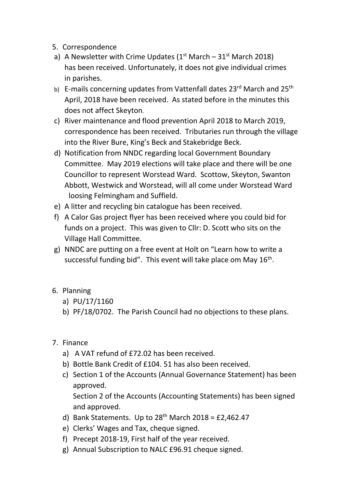- 5. Correspondence
- a) A Newsletter with Crime Updates  $(1<sup>st</sup> March 31<sup>st</sup> March 2018)$ has been received. Unfortunately, it does not give individual crimes in parishes.
- b) E-mails concerning updates from Vattenfall dates 23rd March and 25<sup>th</sup> April, 2018 have been received. As stated before in the minutes this does not affect Skeyton.
- c) River maintenance and flood prevention April 2018 to March 2019, correspondence has been received. Tributaries run through the village into the River Bure, King's Beck and Stakebridge Beck.
- d) Notification from NNDC regarding local Government Boundary Committee. May 2019 elections will take place and there will be one Councillor to represent Worstead Ward. Scottow, Skeyton, Swanton Abbott, Westwick and Worstead, will all come under Worstead Ward loosing Felmingham and Suffield.
- e) A litter and recycling bin catalogue has been received.
- f) A Calor Gas project flyer has been received where you could bid for funds on a project. This was given to Cllr: D. Scott who sits on the Village Hall Committee.
- g) NNDC are putting on a free event at Holt on "Learn how to write a successful funding bid". This event will take place om May 16<sup>th</sup>.
- 6. Planning
	- a) PU/17/1160
	- b) PF/18/0702. The Parish Council had no objections to these plans.
- 7. Finance
	- a) A VAT refund of £72.02 has been received.
	- b) Bottle Bank Credit of £104. 51 has also been received.
	- c) Section 1 of the Accounts (Annual Governance Statement) has been approved.

Section 2 of the Accounts (Accounting Statements) has been signed and approved.

- d) Bank Statements. Up to  $28<sup>th</sup>$  March 2018 = £2,462.47
- e) Clerks' Wages and Tax, cheque signed.
- f) Precept 2018-19, First half of the year received.
- g) Annual Subscription to NALC £96.91 cheque signed.